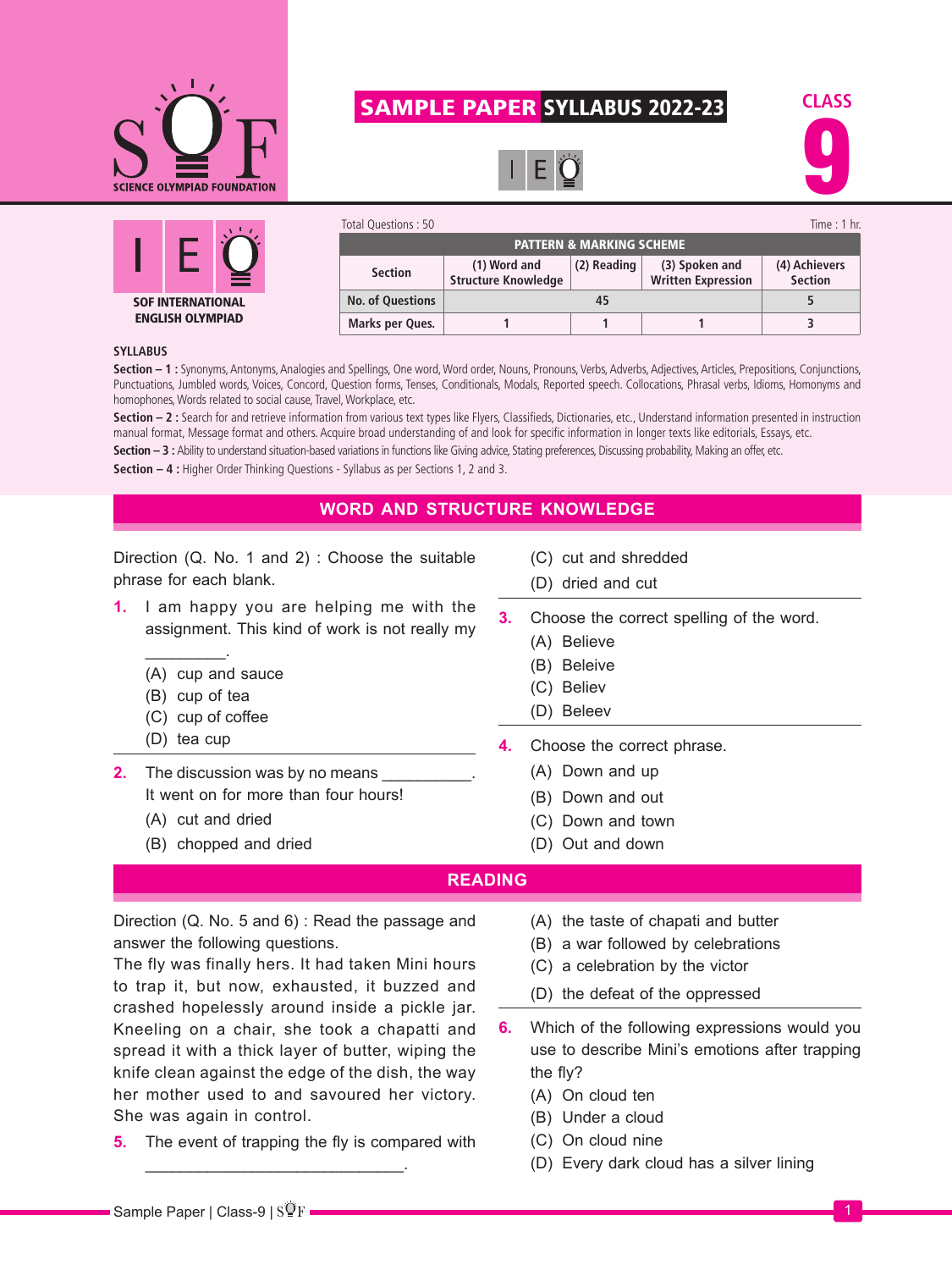

## SAMPLE PAPER SYLLABUS 2022-23







| Total Questions: 50                 |                                            |             |                                             | Time : $1$ hr.                  |  |
|-------------------------------------|--------------------------------------------|-------------|---------------------------------------------|---------------------------------|--|
| <b>PATTERN &amp; MARKING SCHEME</b> |                                            |             |                                             |                                 |  |
| <b>Section</b>                      | (1) Word and<br><b>Structure Knowledge</b> | (2) Reading | (3) Spoken and<br><b>Written Expression</b> | (4) Achievers<br><b>Section</b> |  |
| <b>No. of Questions</b>             | 45                                         |             |                                             |                                 |  |
| Marks per Ques.                     |                                            |             |                                             |                                 |  |

## **SYLLABUS**

**Section – 1 :** Synonyms, Antonyms, Analogies and Spellings, One word, Word order, Nouns, Pronouns, Verbs, Adverbs, Adjectives, Articles, Prepositions, Conjunctions, Punctuations, Jumbled words, Voices, Concord, Question forms, Tenses, Conditionals, Modals, Reported speech. Collocations, Phrasal verbs, Idioms, Homonyms and homophones, Words related to social cause, Travel, Workplace, etc.

**Section – 2 :** Search for and retrieve information from various text types like Flyers, Classifieds, Dictionaries, etc., Understand information presented in instruction manual format, Message format and others. Acquire broad understanding of and look for specific information in longer texts like editorials, Essays, etc.

Section - 3 : Ability to understand situation-based variations in functions like Giving advice, Stating preferences, Discussing probability, Making an offer, etc.

**Section – 4 :** Higher Order Thinking Questions - Syllabus as per Sections 1, 2 and 3.

## **WORD AND STRUCTURE KNOWLEDGE**

Direction (Q. No. 1 and 2) : Choose the suitable phrase for each blank.

- **1.** I am happy you are helping me with the assignment. This kind of work is not really my
	- (A) cup and sauce
	- (B) cup of tea

 $\overline{\phantom{a}}$ 

- (C) cup of coffee
- (D) tea cup
- **2.** The discussion was by no means It went on for more than four hours!
	- (A) cut and dried
	- (B) chopped and dried
- (C) cut and shredded
- (D) dried and cut
- **3.** Choose the correct spelling of the word.
	- (A) Believe
	- (B) Beleive
	- (C) Believ
	- (D) Beleev
- **4.** Choose the correct phrase.
	- (A) Down and up
	- (B) Down and out
	- (C) Down and town
	- (D) Out and down

## **READING**

Direction (Q. No. 5 and 6) : Read the passage and answer the following questions.

The fly was finally hers. It had taken Mini hours to trap it, but now, exhausted, it buzzed and crashed hopelessly around inside a pickle jar. Kneeling on a chair, she took a chapatti and spread it with a thick layer of butter, wiping the knife clean against the edge of the dish, the way her mother used to and savoured her victory. She was again in control.

**5.** The event of trapping the fly is compared with

\_\_\_\_\_\_\_\_\_\_\_\_\_\_\_\_\_\_\_\_\_\_\_\_\_\_\_\_\_.

- (A) the taste of chapati and butter
- (B) a war followed by celebrations
- (C) a celebration by the victor
- (D) the defeat of the oppressed
- **6.** Which of the following expressions would you use to describe Mini's emotions after trapping the fly?
	- (A) On cloud ten
	- (B) Under a cloud
	- (C) On cloud nine
	- (D) Every dark cloud has a silver lining